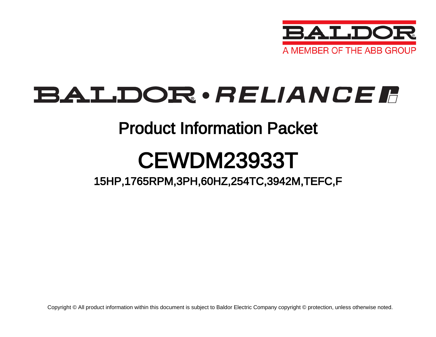

## BALDOR · RELIANCE F

### Product Information Packet

# CEWDM23933T

15HP,1765RPM,3PH,60HZ,254TC,3942M,TEFC,F

Copyright © All product information within this document is subject to Baldor Electric Company copyright © protection, unless otherwise noted.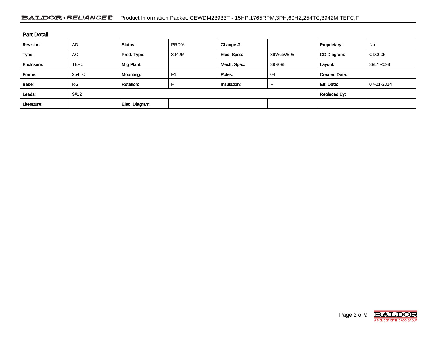#### BALDOR · RELIANCE F Product Information Packet: CEWDM23933T - 15HP,1765RPM,3PH,60HZ,254TC,3942M,TEFC,F

| <b>Part Detail</b> |                             |                  |                |             |          |                      |            |  |
|--------------------|-----------------------------|------------------|----------------|-------------|----------|----------------------|------------|--|
| Revision:          | <b>AD</b>                   | Status:          | PRD/A          | Change #:   |          | Proprietary:         | No         |  |
| Type:              | AC                          | Prod. Type:      | 3942M          | Elec. Spec: | 39WGW595 | CD Diagram:          | CD0005     |  |
| Enclosure:         | <b>TEFC</b>                 | Mfg Plant:       |                | Mech. Spec: | 39R098   | Layout:              | 39LYR098   |  |
| Frame:             | 254TC                       | Mounting:        | F <sub>1</sub> | Poles:      | 04       | <b>Created Date:</b> |            |  |
| Base:              | <b>RG</b>                   | <b>Rotation:</b> | R              | Insulation: |          | Eff. Date:           | 07-21-2014 |  |
| Leads:             | 9#12<br><b>Replaced By:</b> |                  |                |             |          |                      |            |  |
| Literature:        |                             | Elec. Diagram:   |                |             |          |                      |            |  |

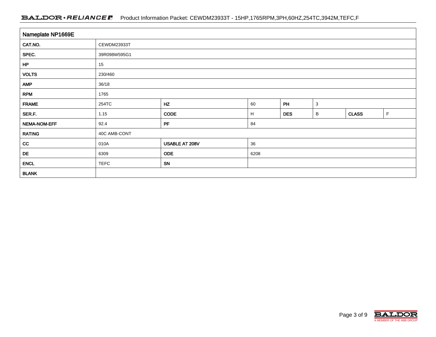#### BALDOR · RELIANCE F Product Information Packet: CEWDM23933T - 15HP,1765RPM,3PH,60HZ,254TC,3942M,TEFC,F

| Nameplate NP1669E |              |                |      |            |   |              |             |  |  |
|-------------------|--------------|----------------|------|------------|---|--------------|-------------|--|--|
| CAT.NO.           | CEWDM23933T  |                |      |            |   |              |             |  |  |
| SPEC.             | 39R098W595G1 |                |      |            |   |              |             |  |  |
| HP                | 15           |                |      |            |   |              |             |  |  |
| <b>VOLTS</b>      | 230/460      |                |      |            |   |              |             |  |  |
| <b>AMP</b>        | 36/18        |                |      |            |   |              |             |  |  |
| <b>RPM</b>        | 1765         |                |      |            |   |              |             |  |  |
| <b>FRAME</b>      | 254TC        | HZ             | 60   | PH         | 3 |              |             |  |  |
| SER.F.            | 1.15         | <b>CODE</b>    | H    | <b>DES</b> | B | <b>CLASS</b> | $\mathsf F$ |  |  |
| NEMA-NOM-EFF      | 92.4         | PF             | 84   |            |   |              |             |  |  |
| <b>RATING</b>     | 40C AMB-CONT |                |      |            |   |              |             |  |  |
| cc                | 010A         | USABLE AT 208V | 36   |            |   |              |             |  |  |
| DE                | 6309         | <b>ODE</b>     | 6208 |            |   |              |             |  |  |
| <b>ENCL</b>       | <b>TEFC</b>  | SN             |      |            |   |              |             |  |  |
| <b>BLANK</b>      |              |                |      |            |   |              |             |  |  |

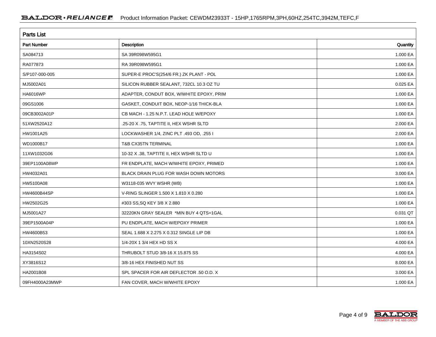| <b>Parts List</b>  |                                          |          |  |  |  |  |
|--------------------|------------------------------------------|----------|--|--|--|--|
| <b>Part Number</b> | Description                              | Quantity |  |  |  |  |
| SA084713           | SA 39R098W595G1                          | 1.000 EA |  |  |  |  |
| RA077873           | RA 39R098W595G1                          | 1.000 EA |  |  |  |  |
| S/P107-000-005     | SUPER-E PROC'S(254/6 FR.) ZK PLANT - POL | 1.000 EA |  |  |  |  |
| MJ5002A01          | SILICON RUBBER SEALANT, 732CL 10.3 OZ TU | 0.025 EA |  |  |  |  |
| <b>HA6016WP</b>    | ADAPTER, CONDUT BOX, W/WHITE EPOXY, PRIM | 1.000 EA |  |  |  |  |
| 09GS1006           | GASKET, CONDUIT BOX, NEOP-1/16 THICK-BLA | 1.000 EA |  |  |  |  |
| 09CB3002A01P       | CB MACH - 1.25 N.P.T. LEAD HOLE W/EPOXY  | 1.000 EA |  |  |  |  |
| 51XW2520A12        | .25-20 X .75, TAPTITE II, HEX WSHR SLTD  | 2.000 EA |  |  |  |  |
| HW1001A25          | LOCKWASHER 1/4, ZINC PLT .493 OD, .255 I | 2.000 EA |  |  |  |  |
| WD1000B17          | T&B CX35TN TERMINAL                      | 1.000 EA |  |  |  |  |
| 11XW1032G06        | 10-32 X .38, TAPTITE II, HEX WSHR SLTD U | 1.000 EA |  |  |  |  |
| 39EP1100A08WP      | FR ENDPLATE, MACH W/WHITE EPOXY, PRIMED  | 1.000 EA |  |  |  |  |
| HW4032A01          | BLACK DRAIN PLUG FOR WASH DOWN MOTORS    | 3.000 EA |  |  |  |  |
| HW5100A08          | W3118-035 WVY WSHR (WB)                  | 1.000 EA |  |  |  |  |
| HW4600B44SP        | V-RING SLINGER 1.500 X 1.810 X 0.280     | 1.000 EA |  |  |  |  |
| HW2502G25          | #303 SS, SQ KEY 3/8 X 2.880              | 1.000 EA |  |  |  |  |
| MJ5001A27          | 32220KN GRAY SEALER *MIN BUY 4 QTS=1GAL  | 0.031 QT |  |  |  |  |
| 39EP1500A04P       | PU ENDPLATE, MACH W/EPOXY PRIMER         | 1.000 EA |  |  |  |  |
| HW4600B53          | SEAL 1.688 X 2.275 X 0.312 SINGLE LIP DB | 1.000 EA |  |  |  |  |
| 10XN2520S28        | 1/4-20X 1 3/4 HEX HD SS X                | 4.000 EA |  |  |  |  |
| HA3154S02          | THRUBOLT STUD 3/8-16 X 15.875 SS         | 4.000 EA |  |  |  |  |
| XY3816S12          | 3/8-16 HEX FINISHED NUT SS               | 8.000 EA |  |  |  |  |
| HA2001B08          | SPL SPACER FOR AIR DEFLECTOR .50 O.D. X  | 3.000 EA |  |  |  |  |
| 09FH4000A23MWP     | FAN COVER, MACH W/WHITE EPOXY            | 1.000 EA |  |  |  |  |

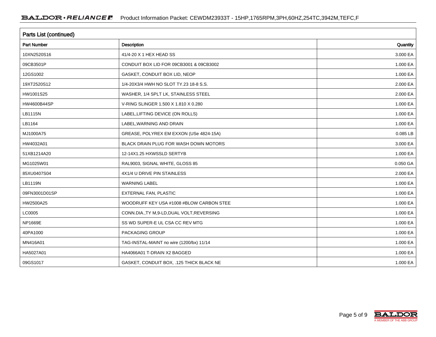| <b>Parts List (continued)</b> |                                             |          |  |  |  |  |
|-------------------------------|---------------------------------------------|----------|--|--|--|--|
| Part Number                   | Description                                 | Quantity |  |  |  |  |
| 10XN2520S16                   | 41/4-20 X 1 HEX HEAD SS                     | 3.000 EA |  |  |  |  |
| 09CB3501P                     | CONDUIT BOX LID FOR 09CB3001 & 09CB3002     | 1.000 EA |  |  |  |  |
| 12GS1002                      | GASKET, CONDUIT BOX LID, NEOP               | 1.000 EA |  |  |  |  |
| 19XT2520S12                   | 1/4-20X3/4 HWH NO SLOT TY.23 18-8 S.S.      | 2.000 EA |  |  |  |  |
| HW1001S25                     | WASHER, 1/4 SPLT LK, STAINLESS STEEL        | 2.000 EA |  |  |  |  |
| HW4600B44SP                   | V-RING SLINGER 1.500 X 1.810 X 0.280        | 1.000 EA |  |  |  |  |
| LB1115N                       | LABEL, LIFTING DEVICE (ON ROLLS)            | 1.000 EA |  |  |  |  |
| LB1164                        | LABEL, WARNING AND DRAIN                    | 1.000 EA |  |  |  |  |
| MJ1000A75                     | GREASE, POLYREX EM EXXON (USe 4824-15A)     | 0.085 LB |  |  |  |  |
| HW4032A01                     | BLACK DRAIN PLUG FOR WASH DOWN MOTORS       | 3.000 EA |  |  |  |  |
| 51XB1214A20                   | 12-14X1.25 HXWSSLD SERTYB                   | 1.000 EA |  |  |  |  |
| MG1025W01                     | RAL9003, SIGNAL WHITE, GLOSS 85             | 0.050 GA |  |  |  |  |
| 85XU0407S04                   | 4X1/4 U DRIVE PIN STAINLESS                 | 2.000 EA |  |  |  |  |
| <b>LB1119N</b>                | <b>WARNING LABEL</b>                        | 1.000 EA |  |  |  |  |
| 09FN3001D01SP                 | EXTERNAL FAN, PLASTIC                       | 1.000 EA |  |  |  |  |
| HW2500A25                     | WOODRUFF KEY USA #1008 #BLOW CARBON STEE    | 1.000 EA |  |  |  |  |
| LC0005                        | CONN.DIA., TY M, 9-LD, DUAL VOLT, REVERSING | 1.000 EA |  |  |  |  |
| NP1669E                       | SS WD SUPER-E UL CSA CC REV MTG             | 1.000 EA |  |  |  |  |
| 40PA1000                      | PACKAGING GROUP                             | 1.000 EA |  |  |  |  |
| MN416A01                      | TAG-INSTAL-MAINT no wire (1200/bx) 11/14    | 1.000 EA |  |  |  |  |
| HA5027A01                     | HA4066A01 T-DRAIN X2 BAGGED                 | 1.000 EA |  |  |  |  |
| 09GS1017                      | GASKET, CONDUIT BOX, .125 THICK BLACK NE    | 1.000 EA |  |  |  |  |

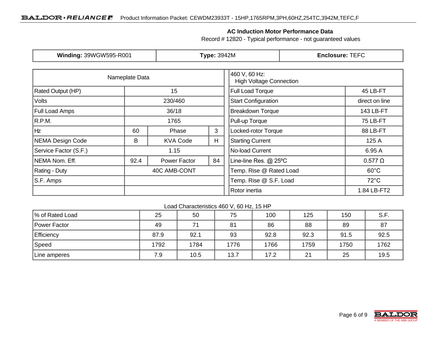#### **AC Induction Motor Performance Data**

Record # 12820 - Typical performance - not guaranteed values

| Winding: 39WGW595-R001  |                | <b>Type: 3942M</b> |                                                 |                         | <b>Enclosure: TEFC</b> |                 |  |
|-------------------------|----------------|--------------------|-------------------------------------------------|-------------------------|------------------------|-----------------|--|
|                         | Nameplate Data |                    | 460 V, 60 Hz:<br><b>High Voltage Connection</b> |                         |                        |                 |  |
| Rated Output (HP)<br>15 |                |                    |                                                 | Full Load Torque        |                        | 45 LB-FT        |  |
| <b>Volts</b>            |                | 230/460            | <b>Start Configuration</b>                      |                         |                        | direct on line  |  |
| <b>Full Load Amps</b>   |                | 36/18              |                                                 | <b>Breakdown Torque</b> |                        | 143 LB-FT       |  |
| R.P.M.                  |                | 1765               | Pull-up Torque                                  |                         |                        | <b>75 LB-FT</b> |  |
| Hz                      | 60             | Phase              | 3                                               | Locked-rotor Torque     |                        | 88 LB-FT        |  |
| NEMA Design Code<br>B   |                | <b>KVA Code</b>    | H.                                              | <b>Starting Current</b> |                        | 125 A           |  |
| Service Factor (S.F.)   | 1.15           |                    |                                                 | No-load Current         |                        | 6.95 A          |  |
| NEMA Nom. Eff.          | 92.4           | Power Factor       | 84                                              | Line-line Res. @ 25°C   |                        | $0.577 \Omega$  |  |
| <b>Rating - Duty</b>    | 40C AMB-CONT   |                    | Temp. Rise @ Rated Load                         |                         | $60^{\circ}$ C         |                 |  |
| S.F. Amps               |                |                    |                                                 | Temp. Rise @ S.F. Load  |                        | $72^{\circ}$ C  |  |
|                         |                |                    |                                                 | Rotor inertia           |                        | 1.84 LB-FT2     |  |

#### Load Characteristics 460 V, 60 Hz, 15 HP

| % of Rated Load | 25   | 50   | 75   | 100  | 125  | 150  | S.F. |
|-----------------|------|------|------|------|------|------|------|
| Power Factor    | 49   | 74   | 81   | 86   | 88   | 89   | 87   |
| Efficiency      | 87.9 | 92.1 | 93   | 92.8 | 92.3 | 91.5 | 92.5 |
| Speed           | 1792 | 1784 | 1776 | 1766 | 1759 | 1750 | 1762 |
| Line amperes    | 7.9  | 10.5 | 13.7 | 17.2 | 21   | 25   | 19.5 |

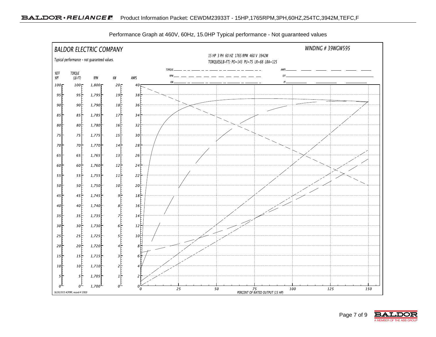

Performance Graph at 460V, 60Hz, 15.0HP Typical performance - Not guaranteed values

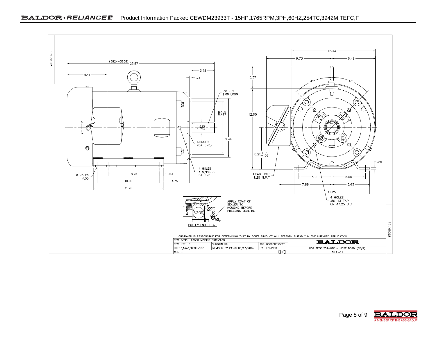